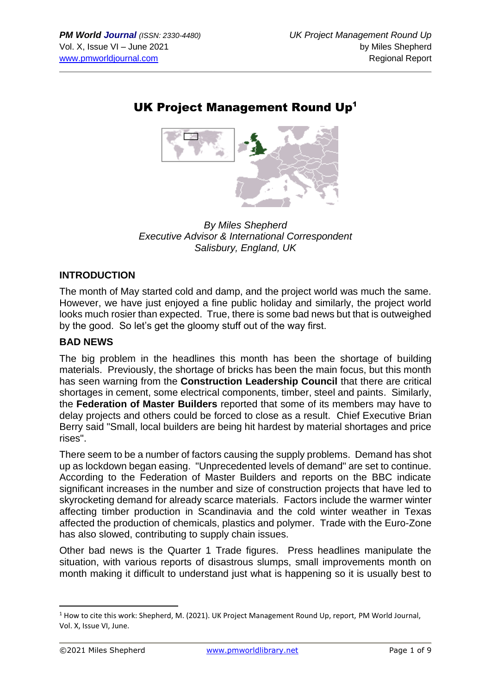# UK Project Management Round Up<sup>1</sup>



*By Miles Shepherd Executive Advisor & International Correspondent Salisbury, England, UK*

### **INTRODUCTION**

The month of May started cold and damp, and the project world was much the same. However, we have just enjoyed a fine public holiday and similarly, the project world looks much rosier than expected. True, there is some bad news but that is outweighed by the good. So let's get the gloomy stuff out of the way first.

#### **BAD NEWS**

The big problem in the headlines this month has been the shortage of building materials. Previously, the shortage of bricks has been the main focus, but this month has seen warning from the **Construction Leadership Council** that there are critical shortages in cement, some electrical components, timber, steel and paints. Similarly, the **Federation of Master Builders** reported that some of its members may have to delay projects and others could be forced to close as a result. Chief Executive Brian Berry said "Small, local builders are being hit hardest by material shortages and price rises".

There seem to be a number of factors causing the supply problems. Demand has shot up as lockdown began easing. "Unprecedented levels of demand" are set to continue. According to the Federation of Master Builders and reports on the BBC indicate significant increases in the number and size of construction projects that have led to skyrocketing demand for already scarce materials. Factors include the warmer winter affecting timber production in Scandinavia and the cold winter weather in Texas affected the production of chemicals, plastics and polymer. Trade with the Euro-Zone has also slowed, contributing to supply chain issues.

Other bad news is the Quarter 1 Trade figures. Press headlines manipulate the situation, with various reports of disastrous slumps, small improvements month on month making it difficult to understand just what is happening so it is usually best to

 $1$  How to cite this work: Shepherd, M. (2021). UK Project Management Round Up, report, PM World Journal, Vol. X, Issue VI, June.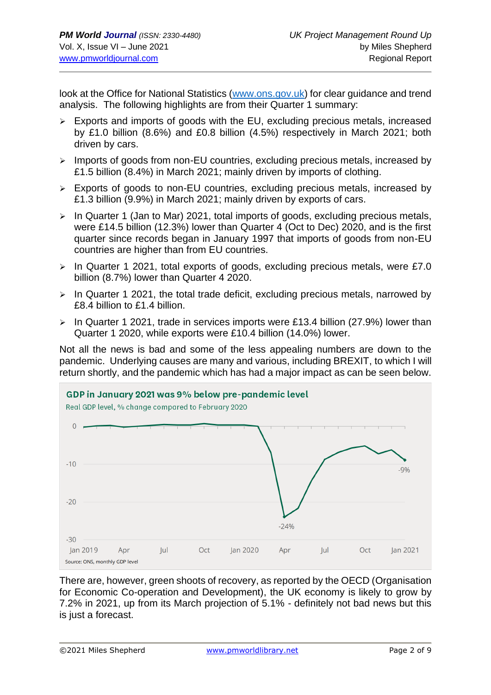look at the Office for National Statistics [\(www.ons.gov.uk\)](http://www.ons.gov.uk/) for clear guidance and trend analysis. The following highlights are from their Quarter 1 summary:

- ➢ Exports and imports of goods with the EU, excluding precious metals, increased by £1.0 billion (8.6%) and £0.8 billion (4.5%) respectively in March 2021; both driven by cars.
- ➢ Imports of goods from non-EU countries, excluding precious metals, increased by £1.5 billion (8.4%) in March 2021; mainly driven by imports of clothing.
- ➢ Exports of goods to non-EU countries, excluding precious metals, increased by £1.3 billion (9.9%) in March 2021; mainly driven by exports of cars.
- $\triangleright$  In Quarter 1 (Jan to Mar) 2021, total imports of goods, excluding precious metals, were £14.5 billion (12.3%) lower than Quarter 4 (Oct to Dec) 2020, and is the first quarter since records began in January 1997 that imports of goods from non-EU countries are higher than from EU countries.
- ➢ In Quarter 1 2021, total exports of goods, excluding precious metals, were £7.0 billion (8.7%) lower than Quarter 4 2020.
- $\triangleright$  In Quarter 1 2021, the total trade deficit, excluding precious metals, narrowed by £8.4 billion to £1.4 billion.
- ➢ In Quarter 1 2021, trade in services imports were £13.4 billion (27.9%) lower than Quarter 1 2020, while exports were £10.4 billion (14.0%) lower.

Not all the news is bad and some of the less appealing numbers are down to the pandemic. Underlying causes are many and various, including BREXIT, to which I will return shortly, and the pandemic which has had a major impact as can be seen below.



There are, however, green shoots of recovery, as reported by the OECD (Organisation for Economic Co-operation and Development), the UK economy is likely to grow by 7.2% in 2021, up from its March projection of 5.1% - definitely not bad news but this is just a forecast.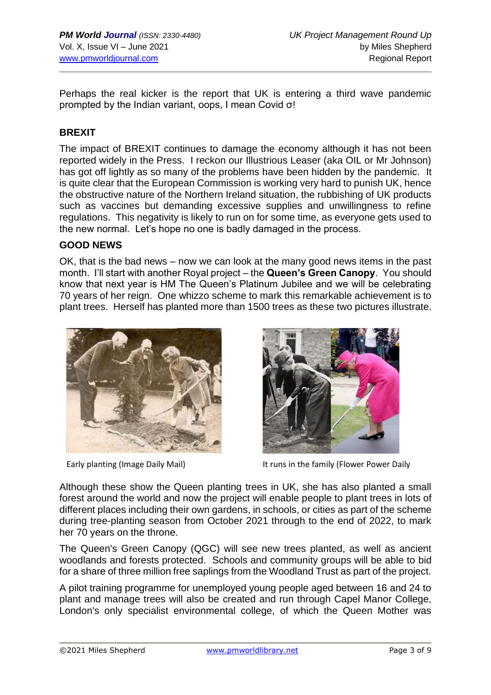Perhaps the real kicker is the report that UK is entering a third wave pandemic prompted by the Indian variant, oops, I mean Covid σ!

#### **BREXIT**

The impact of BREXIT continues to damage the economy although it has not been reported widely in the Press. I reckon our Illustrious Leaser (aka OIL or Mr Johnson) has got off lightly as so many of the problems have been hidden by the pandemic. It is quite clear that the European Commission is working very hard to punish UK, hence the obstructive nature of the Northern Ireland situation, the rubbishing of UK products such as vaccines but demanding excessive supplies and unwillingness to refine regulations. This negativity is likely to run on for some time, as everyone gets used to the new normal. Let's hope no one is badly damaged in the process.

#### **GOOD NEWS**

OK, that is the bad news – now we can look at the many good news items in the past month. I'll start with another Royal project – the **Queen's Green Canopy**. You should know that next year is HM The Queen's Platinum Jubilee and we will be celebrating 70 years of her reign. One whizzo scheme to mark this remarkable achievement is to plant trees. Herself has planted more than 1500 trees as these two pictures illustrate.





Early planting (Image Daily Mail) It runs in the family (Flower Power Daily

Although these show the Queen planting trees in UK, she has also planted a small forest around the world and now the project will enable people to plant trees in lots of different places including their own gardens, in schools, or cities as part of the scheme during tree-planting season from October 2021 through to the end of 2022, to mark her 70 years on the throne.

The Queen's Green Canopy (QGC) will see new trees planted, as well as ancient woodlands and forests protected. Schools and community groups will be able to bid for a share of three million free saplings from the Woodland Trust as part of the project.

A pilot training programme for unemployed young people aged between 16 and 24 to plant and manage trees will also be created and run through Capel Manor College, London's only specialist environmental college, of which the Queen Mother was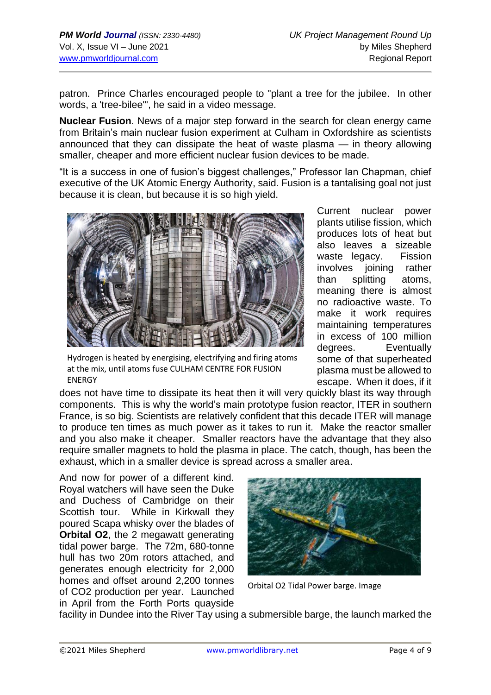patron. Prince Charles encouraged people to "plant a tree for the jubilee. In other words, a 'tree-bilee'", he said in a video message.

**Nuclear Fusion**. News of a major step forward in the search for clean energy came from Britain's main nuclear fusion experiment at Culham in Oxfordshire as scientists announced that they can dissipate the heat of waste plasma — in theory allowing smaller, cheaper and more efficient nuclear fusion devices to be made.

"It is a success in one of fusion's biggest challenges," Professor Ian Chapman, chief executive of the UK Atomic Energy Authority, said. Fusion is a tantalising goal not just because it is clean, but because it is so high yield.



Hydrogen is heated by energising, electrifying and firing atoms at the mix, until atoms fuse CULHAM CENTRE FOR FUSION ENERGY

Current nuclear power plants utilise fission, which produces lots of heat but also leaves a sizeable waste legacy. Fission involves ioining rather than splitting atoms, meaning there is almost no radioactive waste. To make it work requires maintaining temperatures in excess of 100 million degrees. Eventually some of that superheated plasma must be allowed to escape. When it does, if it

does not have time to dissipate its heat then it will very quickly blast its way through components. This is why the world's main prototype fusion reactor, ITER in southern France, is so big. Scientists are relatively confident that this decade ITER will manage to produce ten times as much power as it takes to run it. Make the reactor smaller and you also make it cheaper. Smaller reactors have the advantage that they also require smaller magnets to hold the plasma in place. The catch, though, has been the exhaust, which in a smaller device is spread across a smaller area.

And now for power of a different kind. Royal watchers will have seen the Duke and Duchess of Cambridge on their Scottish tour. While in Kirkwall they poured Scapa whisky over the blades of **Orbital O2**, the 2 megawatt generating tidal power barge. The 72m, 680-tonne hull has two 20m rotors attached, and generates enough electricity for 2,000 homes and offset around 2,200 tonnes of CO2 production per year. Launched in April from the Forth Ports quayside



Orbital O2 Tidal Power barge. Image

facility in Dundee into the River Tay using a submersible barge, the launch marked the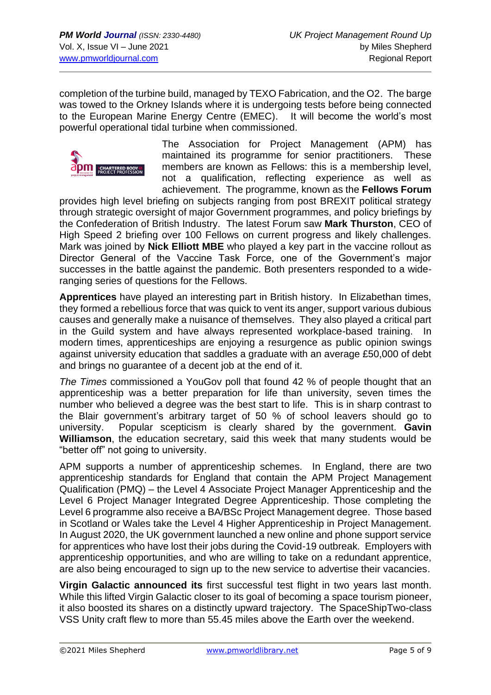completion of the turbine build, managed by TEXO Fabrication, and the O2. The barge was towed to the Orkney Islands where it is undergoing tests before being connected to the European Marine Energy Centre (EMEC). It will become the world's most powerful operational tidal turbine when commissioned.



The Association for Project Management (APM) has maintained its programme for senior practitioners. These members are known as Fellows: this is a membership level, not a qualification, reflecting experience as well as achievement. The programme, known as the **Fellows Forum**

provides high level briefing on subjects ranging from post BREXIT political strategy through strategic oversight of major Government programmes, and policy briefings by the Confederation of British Industry. The latest Forum saw **Mark Thurston**, CEO of High Speed 2 briefing over 100 Fellows on current progress and likely challenges. Mark was joined by **Nick Elliott MBE** who played a key part in the vaccine rollout as Director General of the Vaccine Task Force, one of the Government's major successes in the battle against the pandemic. Both presenters responded to a wideranging series of questions for the Fellows.

**Apprentices** have played an interesting part in British history. In Elizabethan times, they formed a rebellious force that was quick to vent its anger, support various dubious causes and generally make a nuisance of themselves. They also played a critical part in the Guild system and have always represented workplace-based training. In modern times, apprenticeships are enjoying a resurgence as public opinion swings against university education that saddles a graduate with an average £50,000 of debt and brings no guarantee of a decent job at the end of it.

*The Times* commissioned a YouGov poll that found 42 % of people thought that an apprenticeship was a better preparation for life than university, seven times the number who believed a degree was the best start to life. This is in sharp contrast to the Blair government's arbitrary target of 50 % of school leavers should go to university. Popular scepticism is clearly shared by the government. **Gavin Williamson**, the education secretary, said this week that many students would be "better off" not going to university.

APM supports a number of apprenticeship schemes. In England, there are two apprenticeship standards for England that contain the APM Project Management Qualification (PMQ) – the Level 4 Associate Project Manager Apprenticeship and the Level 6 Project Manager Integrated Degree Apprenticeship. Those completing the Level 6 programme also receive a BA/BSc Project Management degree. Those based in Scotland or Wales take the Level 4 Higher Apprenticeship in Project Management. In August 2020, the UK government launched a new online and phone support service for apprentices who have lost their jobs during the Covid-19 outbreak. Employers with apprenticeship opportunities, and who are willing to take on a redundant apprentice, are also being encouraged to sign up to the new service to advertise their vacancies.

**Virgin Galactic announced its** first successful test flight in two years last month. While this lifted Virgin Galactic closer to its goal of becoming a space tourism pioneer, it also boosted its shares on a distinctly upward trajectory. The SpaceShipTwo-class VSS Unity craft flew to more than 55.45 miles above the Earth over the weekend.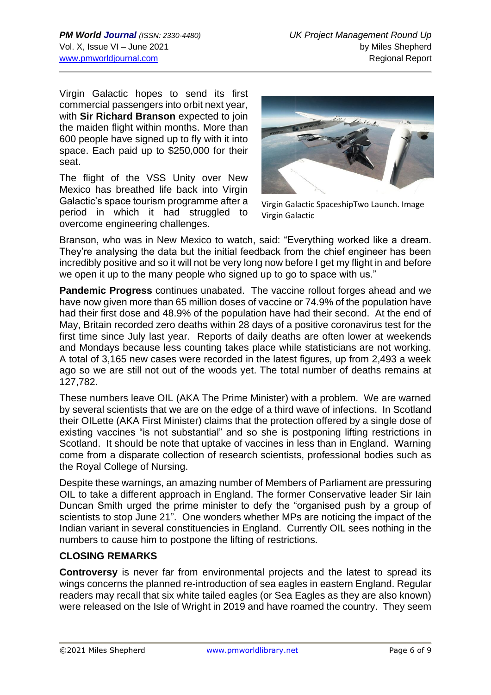Virgin Galactic hopes to send its first commercial passengers into orbit next year, with **Sir Richard Branson** expected to join the maiden flight within months. More than 600 people have signed up to fly with it into space. Each paid up to \$250,000 for their seat.

The flight of the VSS Unity over New Mexico has breathed life back into Virgin Galactic's space tourism programme after a period in which it had struggled to overcome engineering challenges.



Virgin Galactic SpaceshipTwo Launch. Image Virgin Galactic

Branson, who was in New Mexico to watch, said: "Everything worked like a dream. They're analysing the data but the initial feedback from the chief engineer has been incredibly positive and so it will not be very long now before I get my flight in and before we open it up to the many people who signed up to go to space with us."

**Pandemic Progress** continues unabated. The vaccine rollout forges ahead and we have now given more than 65 million doses of vaccine or 74.9% of the population have had their first dose and 48.9% of the population have had their second. At the end of May, Britain recorded zero deaths within 28 days of a positive coronavirus test for the first time since July last year. Reports of daily deaths are often lower at weekends and Mondays because less counting takes place while statisticians are not working. A total of 3,165 new cases were recorded in the latest figures, up from 2,493 a week ago so we are still not out of the woods yet. The total number of deaths remains at 127,782.

These numbers leave OIL (AKA The Prime Minister) with a problem. We are warned by several scientists that we are on the edge of a third wave of infections. In Scotland their OILette (AKA First Minister) claims that the protection offered by a single dose of existing vaccines "is not substantial" and so she is postponing lifting restrictions in Scotland. It should be note that uptake of vaccines in less than in England. Warning come from a disparate collection of research scientists, professional bodies such as the Royal College of Nursing.

Despite these warnings, an amazing number of Members of Parliament are pressuring OIL to take a different approach in England. The former Conservative leader Sir Iain Duncan Smith urged the prime minister to defy the "organised push by a group of scientists to stop June 21". One wonders whether MPs are noticing the impact of the Indian variant in several constituencies in England. Currently OIL sees nothing in the numbers to cause him to postpone the lifting of restrictions.

### **CLOSING REMARKS**

**Controversy** is never far from environmental projects and the latest to spread its wings concerns the planned re-introduction of sea eagles in eastern England. Regular readers may recall that six white tailed eagles (or Sea Eagles as they are also known) were released on the Isle of Wright in 2019 and have roamed the country. They seem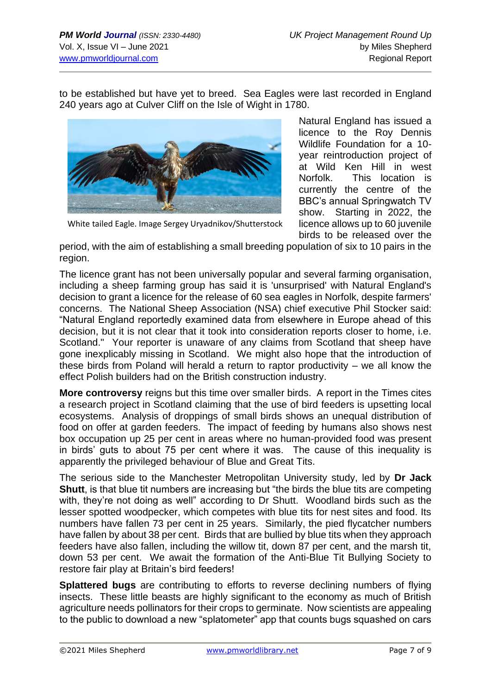to be established but have yet to breed. Sea Eagles were last recorded in England 240 years ago at Culver Cliff on the Isle of Wight in 1780.



Natural England has issued a licence to the Roy Dennis Wildlife Foundation for a 10 year reintroduction project of at Wild Ken Hill in west Norfolk. This location is currently the centre of the BBC's annual Springwatch TV show. Starting in 2022, the licence allows up to 60 juvenile birds to be released over the

White tailed Eagle. Image Sergey Uryadnikov/Shutterstock

period, with the aim of establishing a small breeding population of six to 10 pairs in the region.

The licence grant has not been universally popular and several farming organisation, including a sheep farming group has said it is 'unsurprised' with Natural England's decision to grant a licence for the release of 60 sea eagles in Norfolk, despite farmers' concerns. The National Sheep Association (NSA) chief executive Phil Stocker said: "Natural England reportedly examined data from elsewhere in Europe ahead of this decision, but it is not clear that it took into consideration reports closer to home, i.e. Scotland." Your reporter is unaware of any claims from Scotland that sheep have gone inexplicably missing in Scotland. We might also hope that the introduction of these birds from Poland will herald a return to raptor productivity – we all know the effect Polish builders had on the British construction industry.

**More controversy** reigns but this time over smaller birds. A report in the Times cites a research project in Scotland claiming that the use of bird feeders is upsetting local ecosystems. Analysis of droppings of small birds shows an unequal distribution of food on offer at garden feeders. The impact of feeding by humans also shows nest box occupation up 25 per cent in areas where no human-provided food was present in birds' guts to about 75 per cent where it was. The cause of this inequality is apparently the privileged behaviour of Blue and Great Tits.

The serious side to the Manchester Metropolitan University study, led by **Dr Jack Shutt**, is that blue tit numbers are increasing but "the birds the blue tits are competing with, they're not doing as well" according to Dr Shutt. Woodland birds such as the lesser spotted woodpecker, which competes with blue tits for nest sites and food. Its numbers have fallen 73 per cent in 25 years. Similarly, the pied flycatcher numbers have fallen by about 38 per cent. Birds that are bullied by blue tits when they approach feeders have also fallen, including the willow tit, down 87 per cent, and the marsh tit, down 53 per cent. We await the formation of the Anti-Blue Tit Bullying Society to restore fair play at Britain's bird feeders!

**Splattered bugs** are contributing to efforts to reverse declining numbers of flying insects. These little beasts are highly significant to the economy as much of British agriculture needs pollinators for their crops to germinate. Now scientists are appealing to the public to download a new "splatometer" app that counts bugs squashed on cars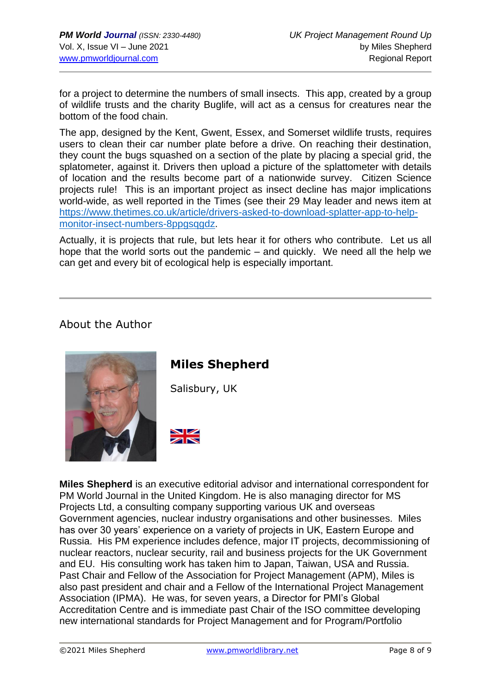for a project to determine the numbers of small insects. This app, created by a group of wildlife trusts and the charity Buglife, will act as a census for creatures near the bottom of the food chain.

The app, designed by the Kent, Gwent, Essex, and Somerset wildlife trusts, requires users to clean their car number plate before a drive. On reaching their destination, they count the bugs squashed on a section of the plate by placing a special grid, the splatometer, against it. Drivers then upload a picture of the splattometer with details of location and the results become part of a nationwide survey. Citizen Science projects rule! This is an important project as insect decline has major implications world-wide, as well reported in the Times (see their 29 May leader and news item at [https://www.thetimes.co.uk/article/drivers-asked-to-download-splatter-app-to-help](https://www.thetimes.co.uk/article/drivers-asked-to-download-splatter-app-to-help-monitor-insect-numbers-8ppgsqgdz)[monitor-insect-numbers-8ppgsqgdz.](https://www.thetimes.co.uk/article/drivers-asked-to-download-splatter-app-to-help-monitor-insect-numbers-8ppgsqgdz)

Actually, it is projects that rule, but lets hear it for others who contribute. Let us all hope that the world sorts out the pandemic – and quickly. We need all the help we can get and every bit of ecological help is especially important.

## About the Author



# **Miles Shepherd**

Salisbury, UK



**Miles Shepherd** is an executive editorial advisor and international correspondent for PM World Journal in the United Kingdom. He is also managing director for MS Projects Ltd, a consulting company supporting various UK and overseas Government agencies, nuclear industry organisations and other businesses. Miles has over 30 years' experience on a variety of projects in UK, Eastern Europe and Russia. His PM experience includes defence, major IT projects, decommissioning of nuclear reactors, nuclear security, rail and business projects for the UK Government and EU. His consulting work has taken him to Japan, Taiwan, USA and Russia. Past Chair and Fellow of the Association for Project Management (APM), Miles is also past president and chair and a Fellow of the International Project Management Association (IPMA). He was, for seven years, a Director for PMI's Global Accreditation Centre and is immediate past Chair of the ISO committee developing new international standards for Project Management and for Program/Portfolio